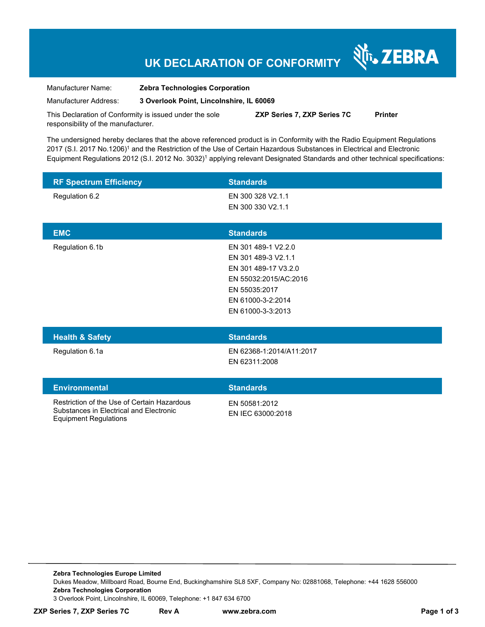## **UK DECLARATION OF CONFORMITY**

N<sub>i</sub>, ZEBRA

Manufacturer Name: **Zebra Technologies Corporation** 

Manufacturer Address: **3 Overlook Point, Lincolnshire, IL 60069** 

This Declaration of Conformity is issued under the sole responsibility of the manufacturer. **ZXP Series 7, ZXP Series 7C Printer** 

The undersigned hereby declares that the above referenced product is in Conformity with the Radio Equipment Regulations 2017 (S.I. 2017 No.1206)<sup>1</sup> and the Restriction of the Use of Certain Hazardous Substances in Electrical and Electronic Equipment Regulations 2012 (S.I. 2012 No. 3032)<sup>1</sup> applying relevant Designated Standards and other technical specifications:

| <b>RF Spectrum Efficiency</b>                                                                                          | <b>Standards</b>                                                                                                                                       |
|------------------------------------------------------------------------------------------------------------------------|--------------------------------------------------------------------------------------------------------------------------------------------------------|
| Regulation 6.2                                                                                                         | EN 300 328 V2.1.1<br>EN 300 330 V2.1.1                                                                                                                 |
| <b>EMC</b>                                                                                                             | <b>Standards</b>                                                                                                                                       |
| Regulation 6.1b                                                                                                        | EN 301 489-1 V2.2.0<br>EN 301 489-3 V2.1.1<br>EN 301 489-17 V3.2.0<br>EN 55032:2015/AC:2016<br>EN 55035:2017<br>EN 61000-3-2:2014<br>EN 61000-3-3:2013 |
| <b>Health &amp; Safety</b>                                                                                             | <b>Standards</b>                                                                                                                                       |
| Regulation 6.1a                                                                                                        | EN 62368-1:2014/A11:2017<br>EN 62311:2008                                                                                                              |
| <b>Environmental</b>                                                                                                   | <b>Standards</b>                                                                                                                                       |
| Restriction of the Use of Certain Hazardous<br>Substances in Electrical and Electronic<br><b>Equipment Regulations</b> | EN 50581:2012<br>EN IEC 63000:2018                                                                                                                     |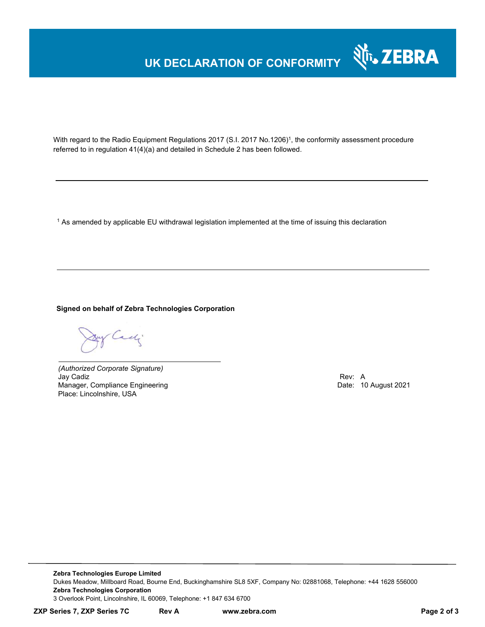# **UK DECLARATION OF CONFORMITY**



With regard to the Radio Equipment Regulations 2017 (S.I. 2017 No.1206)<sup>1</sup>, the conformity assessment procedure referred to in regulation 41(4)(a) and detailed in Schedule 2 has been followed.

 $^{\rm 1}$  As amended by applicable EU withdrawal legislation implemented at the time of issuing this declaration

**Signed on behalf of Zebra Technologies Corporation** 

By Cady

*(Authorized Corporate Signature)* Jay Cadiz Rev: A Manager, Compliance Engineering Place: Lincolnshire, USA

**Zebra Technologies Europe Limited**  Dukes Meadow, Millboard Road, Bourne End, Buckinghamshire SL8 5XF, Company No: 02881068, Telephone: +44 1628 556000 **Zebra Technologies Corporation**  3 Overlook Point, Lincolnshire, IL 60069, Telephone: +1 847 634 6700